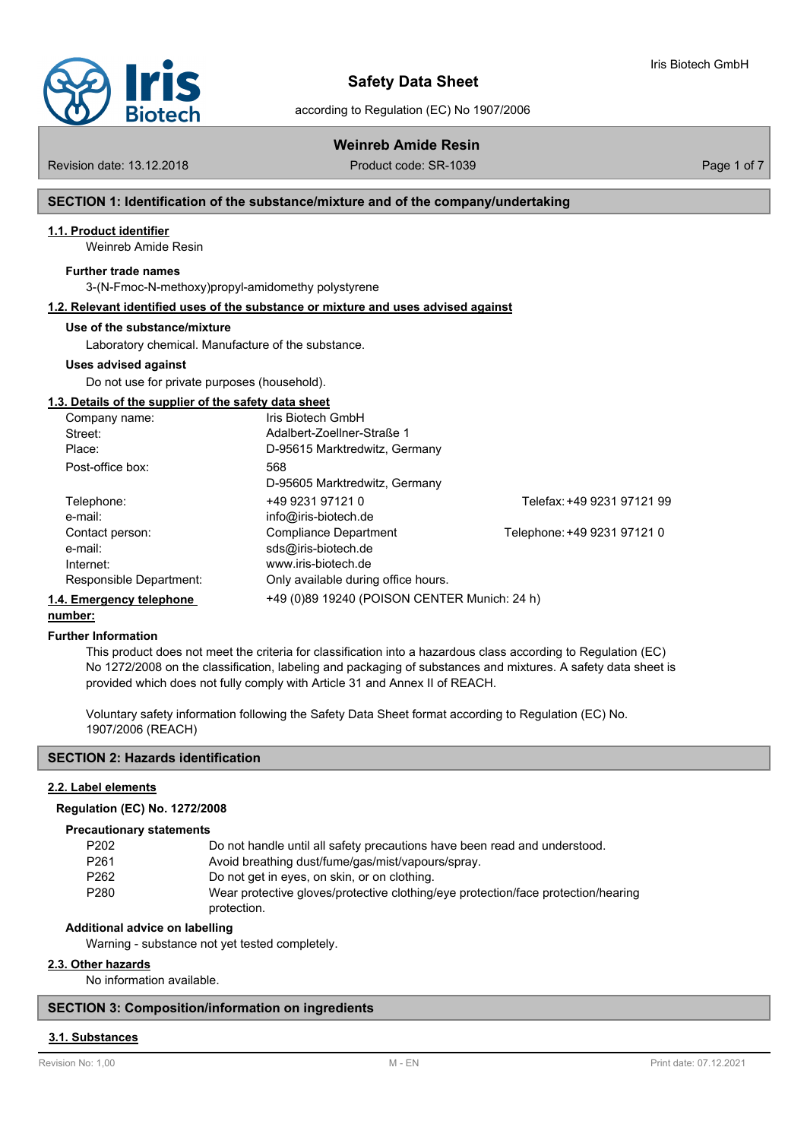

according to Regulation (EC) No 1907/2006

# **Weinreb Amide Resin**

Revision date: 13.12.2018 **Product code: SR-1039** Product code: SR-1039

Iris Biotech GmbH

# **SECTION 1: Identification of the substance/mixture and of the company/undertaking**

## **1.1. Product identifier**

Weinreb Amide Resin

#### **Further trade names**

3-(N-Fmoc-N-methoxy)propyl-amidomethy polystyrene

# **1.2. Relevant identified uses of the substance or mixture and uses advised against**

#### **Use of the substance/mixture**

Laboratory chemical. Manufacture of the substance.

#### **Uses advised against**

Do not use for private purposes (household).

### **1.3. Details of the supplier of the safety data sheet**

| Company name:            | Iris Biotech GmbH                            |                             |
|--------------------------|----------------------------------------------|-----------------------------|
| Street:                  | Adalbert-Zoellner-Straße 1                   |                             |
| Place:                   | D-95615 Marktredwitz, Germany                |                             |
| Post-office box:         | 568                                          |                             |
|                          | D-95605 Marktredwitz, Germany                |                             |
| Telephone:               | +49 9231 97121 0                             | Telefax: +49 9231 97121 99  |
| e-mail:                  | info@iris-biotech.de                         |                             |
| Contact person:          | Compliance Department                        | Telephone: +49 9231 97121 0 |
| e-mail:                  | sds@iris-biotech.de                          |                             |
| Internet:                | www.iris-biotech.de                          |                             |
| Responsible Department:  | Only available during office hours.          |                             |
| 1.4. Emergency telephone | +49 (0)89 19240 (POISON CENTER Munich: 24 h) |                             |

#### **number:**

#### **Further Information**

This product does not meet the criteria for classification into a hazardous class according to Regulation (EC) No 1272/2008 on the classification, labeling and packaging of substances and mixtures. A safety data sheet is provided which does not fully comply with Article 31 and Annex II of REACH.

Voluntary safety information following the Safety Data Sheet format according to Regulation (EC) No. 1907/2006 (REACH)

#### **SECTION 2: Hazards identification**

## **2.2. Label elements**

#### **Regulation (EC) No. 1272/2008**

#### **Precautionary statements**

| P <sub>202</sub> | Do not handle until all safety precautions have been read and understood.         |
|------------------|-----------------------------------------------------------------------------------|
| P <sub>261</sub> | Avoid breathing dust/fume/gas/mist/vapours/spray.                                 |
| P <sub>262</sub> | Do not get in eyes, on skin, or on clothing.                                      |
| P <sub>280</sub> | Wear protective gloves/protective clothing/eye protection/face protection/hearing |
|                  | protection.                                                                       |

#### **Additional advice on labelling**

Warning - substance not yet tested completely.

### **2.3. Other hazards**

No information available.

## **SECTION 3: Composition/information on ingredients**

#### **3.1. Substances**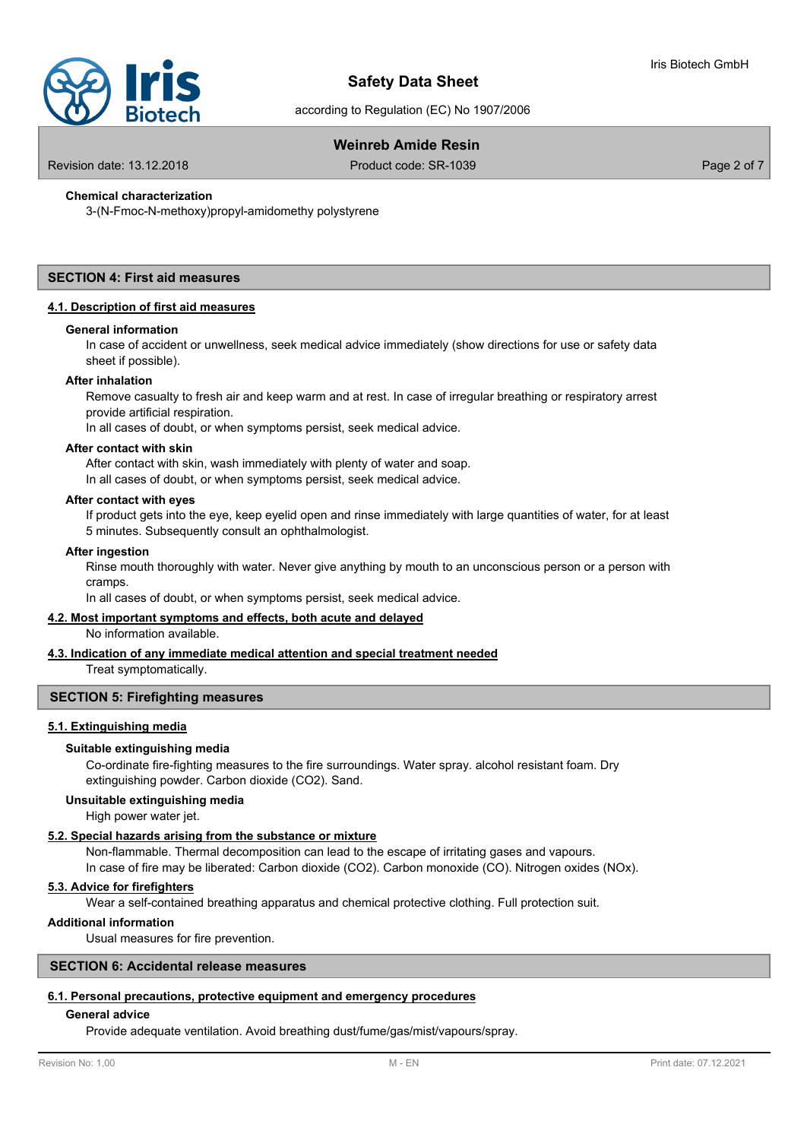

according to Regulation (EC) No 1907/2006

# **Weinreb Amide Resin**

Revision date: 13.12.2018 Product code: SR-1039 Page 2 of 7

# **Chemical characterization**

3-(N-Fmoc-N-methoxy)propyl-amidomethy polystyrene

### **SECTION 4: First aid measures**

#### **4.1. Description of first aid measures**

#### **General information**

In case of accident or unwellness, seek medical advice immediately (show directions for use or safety data sheet if possible).

#### **After inhalation**

Remove casualty to fresh air and keep warm and at rest. In case of irregular breathing or respiratory arrest provide artificial respiration.

In all cases of doubt, or when symptoms persist, seek medical advice.

#### **After contact with skin**

After contact with skin, wash immediately with plenty of water and soap. In all cases of doubt, or when symptoms persist, seek medical advice.

#### **After contact with eyes**

If product gets into the eye, keep eyelid open and rinse immediately with large quantities of water, for at least 5 minutes. Subsequently consult an ophthalmologist.

#### **After ingestion**

Rinse mouth thoroughly with water. Never give anything by mouth to an unconscious person or a person with cramps.

In all cases of doubt, or when symptoms persist, seek medical advice.

## **4.2. Most important symptoms and effects, both acute and delayed**

No information available.

#### **4.3. Indication of any immediate medical attention and special treatment needed**

Treat symptomatically.

### **SECTION 5: Firefighting measures**

#### **5.1. Extinguishing media**

#### **Suitable extinguishing media**

Co-ordinate fire-fighting measures to the fire surroundings. Water spray. alcohol resistant foam. Dry extinguishing powder. Carbon dioxide (CO2). Sand.

#### **Unsuitable extinguishing media**

High power water jet.

## **5.2. Special hazards arising from the substance or mixture**

Non-flammable. Thermal decomposition can lead to the escape of irritating gases and vapours. In case of fire may be liberated: Carbon dioxide (CO2). Carbon monoxide (CO). Nitrogen oxides (NOx).

# **5.3. Advice for firefighters**

Wear a self-contained breathing apparatus and chemical protective clothing. Full protection suit.

#### **Additional information**

Usual measures for fire prevention.

# **SECTION 6: Accidental release measures**

#### **6.1. Personal precautions, protective equipment and emergency procedures**

## **General advice**

Provide adequate ventilation. Avoid breathing dust/fume/gas/mist/vapours/spray.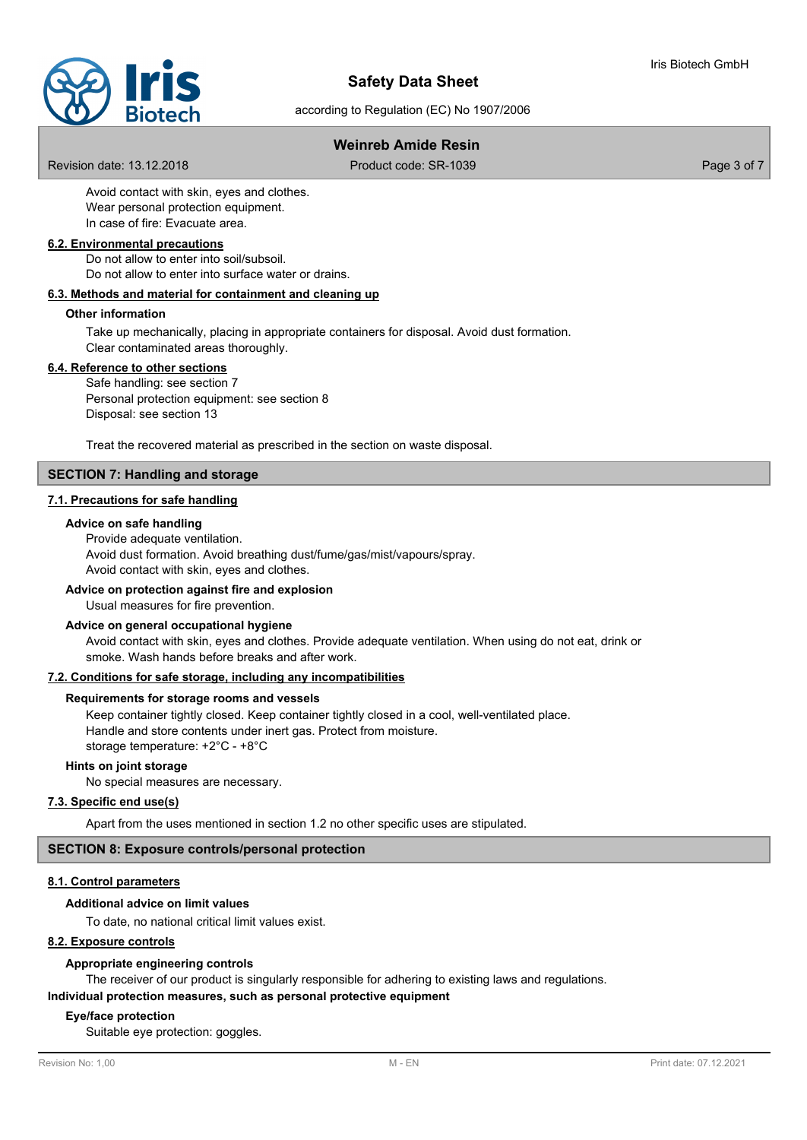

according to Regulation (EC) No 1907/2006

# **Weinreb Amide Resin**

Revision date: 13.12.2018 Product code: SR-1039 Page 3 of 7

Avoid contact with skin, eyes and clothes. Wear personal protection equipment. In case of fire: Evacuate area.

#### **6.2. Environmental precautions**

Do not allow to enter into soil/subsoil. Do not allow to enter into surface water or drains.

#### **6.3. Methods and material for containment and cleaning up**

# **Other information**

Take up mechanically, placing in appropriate containers for disposal. Avoid dust formation. Clear contaminated areas thoroughly.

#### **6.4. Reference to other sections**

Safe handling: see section 7 Personal protection equipment: see section 8 Disposal: see section 13

Treat the recovered material as prescribed in the section on waste disposal.

## **SECTION 7: Handling and storage**

#### **7.1. Precautions for safe handling**

#### **Advice on safe handling**

Provide adequate ventilation. Avoid dust formation. Avoid breathing dust/fume/gas/mist/vapours/spray. Avoid contact with skin, eyes and clothes.

#### **Advice on protection against fire and explosion**

Usual measures for fire prevention.

#### **Advice on general occupational hygiene**

Avoid contact with skin, eyes and clothes. Provide adequate ventilation. When using do not eat, drink or smoke. Wash hands before breaks and after work.

#### **7.2. Conditions for safe storage, including any incompatibilities**

#### **Requirements for storage rooms and vessels**

Keep container tightly closed. Keep container tightly closed in a cool, well-ventilated place. Handle and store contents under inert gas. Protect from moisture. storage temperature: +2°C - +8°C

#### **Hints on joint storage**

No special measures are necessary.

# **7.3. Specific end use(s)**

Apart from the uses mentioned in section 1.2 no other specific uses are stipulated.

## **SECTION 8: Exposure controls/personal protection**

## **8.1. Control parameters**

#### **Additional advice on limit values**

To date, no national critical limit values exist.

#### **8.2. Exposure controls**

#### **Appropriate engineering controls**

The receiver of our product is singularly responsible for adhering to existing laws and regulations.

**Individual protection measures, such as personal protective equipment**

#### **Eye/face protection**

Suitable eye protection: goggles.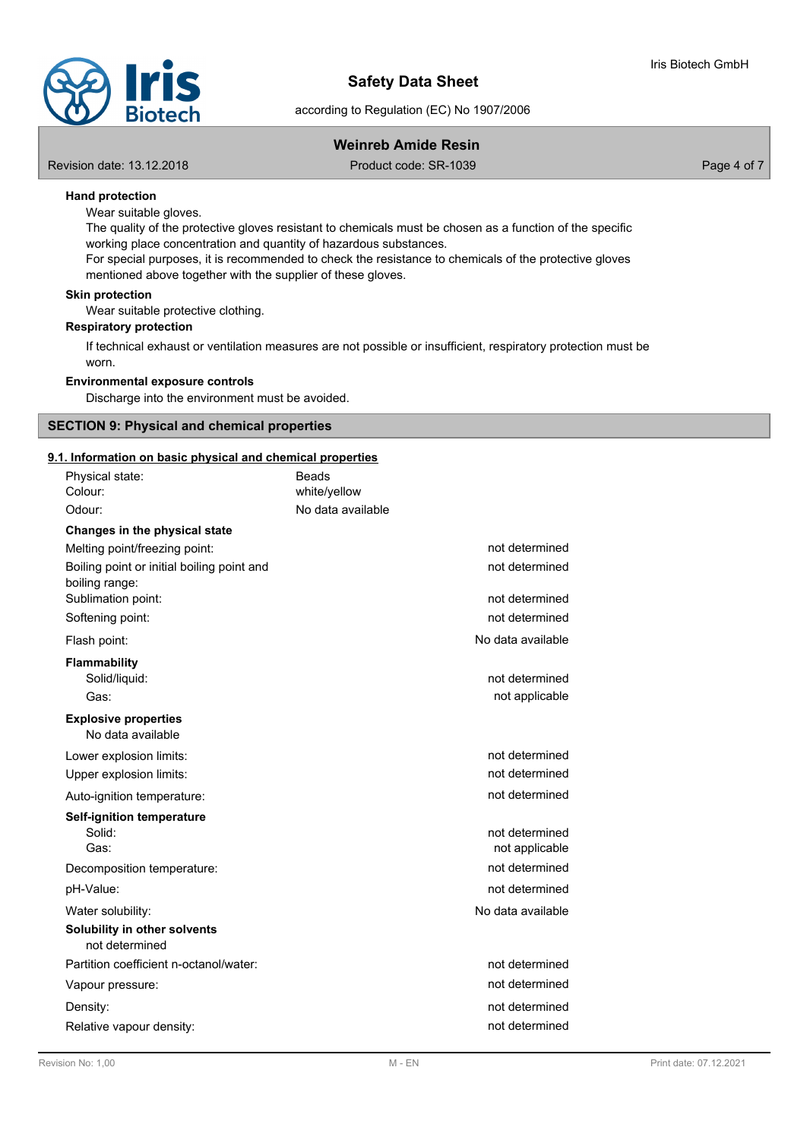

according to Regulation (EC) No 1907/2006

# **Weinreb Amide Resin**

Revision date: 13.12.2018 **Product code: SR-1039** Product code: SR-1039

# **Hand protection**

Wear suitable gloves.

The quality of the protective gloves resistant to chemicals must be chosen as a function of the specific working place concentration and quantity of hazardous substances.

For special purposes, it is recommended to check the resistance to chemicals of the protective gloves mentioned above together with the supplier of these gloves.

## **Skin protection**

Wear suitable protective clothing.

#### **Respiratory protection**

If technical exhaust or ventilation measures are not possible or insufficient, respiratory protection must be worn.

#### **Environmental exposure controls**

Discharge into the environment must be avoided.

## **SECTION 9: Physical and chemical properties**

# **9.1. Information on basic physical and chemical properties**

| <u>. Information on basic physical and chemical properties</u><br>Physical state: | Beads             |                                  |
|-----------------------------------------------------------------------------------|-------------------|----------------------------------|
| Colour:                                                                           | white/yellow      |                                  |
| Odour:                                                                            | No data available |                                  |
| Changes in the physical state                                                     |                   |                                  |
| Melting point/freezing point:                                                     |                   | not determined                   |
| Boiling point or initial boiling point and<br>boiling range:                      |                   | not determined                   |
| Sublimation point:                                                                |                   | not determined                   |
| Softening point:                                                                  |                   | not determined                   |
| Flash point:                                                                      |                   | No data available                |
| <b>Flammability</b><br>Solid/liquid:<br>Gas:                                      |                   | not determined<br>not applicable |
| <b>Explosive properties</b><br>No data available                                  |                   |                                  |
| Lower explosion limits:                                                           |                   | not determined                   |
| Upper explosion limits:                                                           |                   | not determined                   |
| Auto-ignition temperature:                                                        |                   | not determined                   |
| Self-ignition temperature<br>Solid:<br>Gas:                                       |                   | not determined<br>not applicable |
| Decomposition temperature:                                                        |                   | not determined                   |
| pH-Value:                                                                         |                   | not determined                   |
| Water solubility:                                                                 |                   | No data available                |
| Solubility in other solvents<br>not determined                                    |                   |                                  |
| Partition coefficient n-octanol/water:                                            |                   | not determined                   |
| Vapour pressure:                                                                  |                   | not determined                   |
| Density:                                                                          |                   | not determined                   |
| Relative vapour density:                                                          |                   | not determined                   |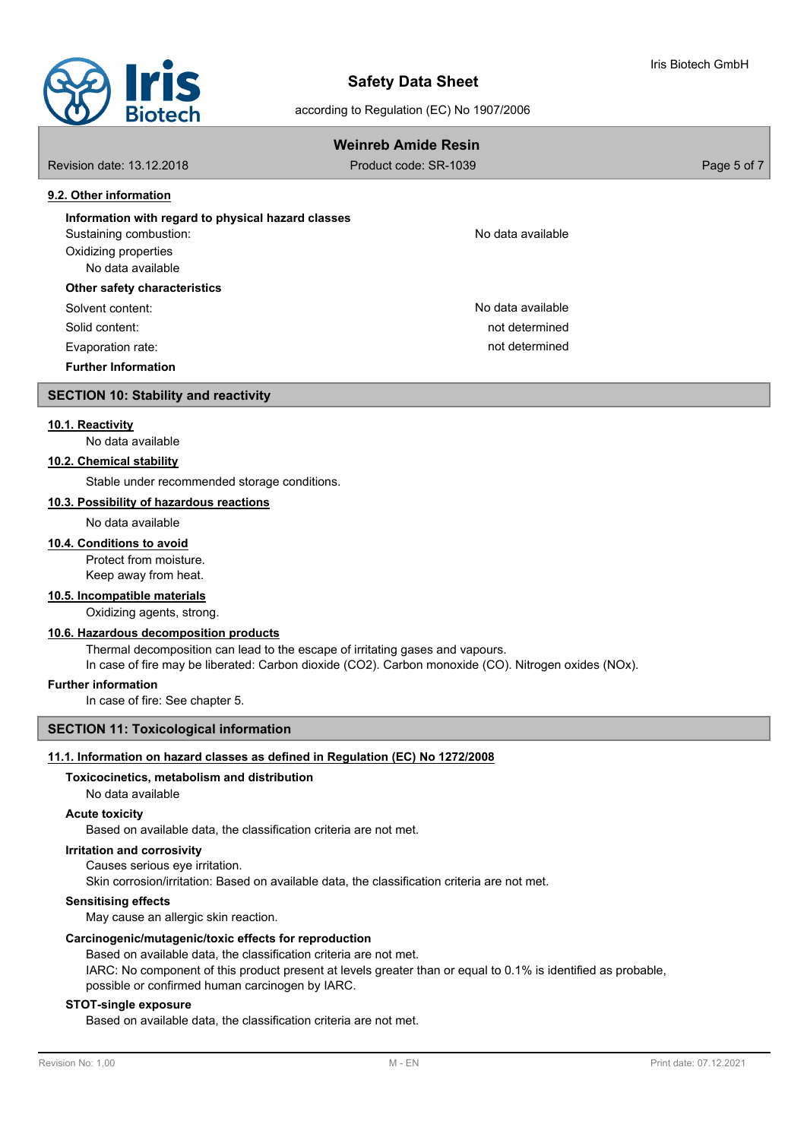

according to Regulation (EC) No 1907/2006

| <b>Weinreb Amide Resin</b>                         |                       |             |
|----------------------------------------------------|-----------------------|-------------|
| Revision date: 13.12.2018                          | Product code: SR-1039 | Page 5 of 7 |
| 9.2. Other information                             |                       |             |
| Information with regard to physical hazard classes |                       |             |
| Sustaining combustion:                             | No data available     |             |
| Oxidizing properties                               |                       |             |
| No data available                                  |                       |             |
| Other safety characteristics                       |                       |             |
| Solvent content:                                   | No data available     |             |
| Solid content:                                     | not determined        |             |
| Evaporation rate:                                  | not determined        |             |
| <b>Further Information</b>                         |                       |             |
| <b>SECTION 10: Stability and reactivity</b>        |                       |             |

## **10.1. Reactivity**

No data available

### **10.2. Chemical stability**

Stable under recommended storage conditions.

#### **10.3. Possibility of hazardous reactions**

No data available

#### **10.4. Conditions to avoid**

Protect from moisture.

Keep away from heat.

# **10.5. Incompatible materials**

Oxidizing agents, strong.

# **10.6. Hazardous decomposition products**

Thermal decomposition can lead to the escape of irritating gases and vapours.

In case of fire may be liberated: Carbon dioxide (CO2). Carbon monoxide (CO). Nitrogen oxides (NOx).

#### **Further information**

In case of fire: See chapter 5.

## **SECTION 11: Toxicological information**

# **11.1. Information on hazard classes as defined in Regulation (EC) No 1272/2008**

# **Toxicocinetics, metabolism and distribution**

No data available

# **Acute toxicity**

Based on available data, the classification criteria are not met.

# **Irritation and corrosivity**

Causes serious eye irritation.

Skin corrosion/irritation: Based on available data, the classification criteria are not met.

**Sensitising effects**

May cause an allergic skin reaction.

#### **Carcinogenic/mutagenic/toxic effects for reproduction**

Based on available data, the classification criteria are not met. IARC: No component of this product present at levels greater than or equal to 0.1% is identified as probable, possible or confirmed human carcinogen by IARC.

# **STOT-single exposure**

Based on available data, the classification criteria are not met.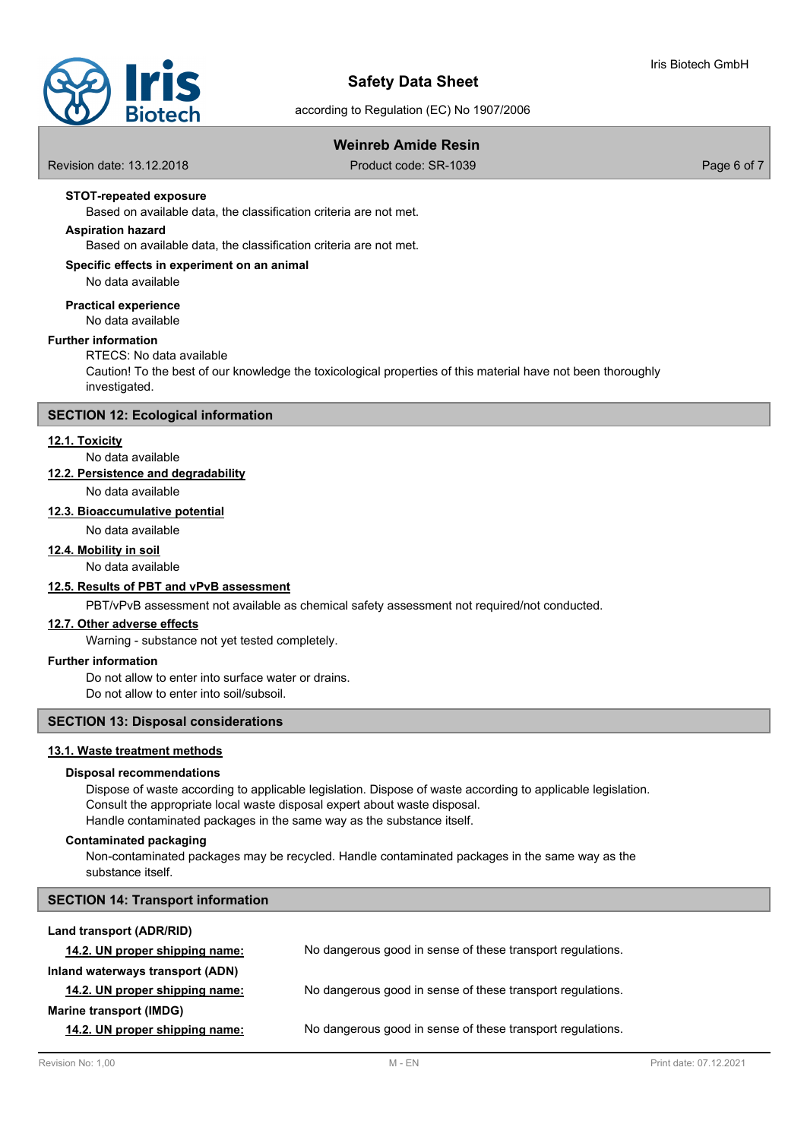

according to Regulation (EC) No 1907/2006

# **Weinreb Amide Resin**

Revision date: 13.12.2018 Product code: SR-1039 Page 6 of 7

# **STOT-repeated exposure**

Based on available data, the classification criteria are not met.

# **Aspiration hazard**

Based on available data, the classification criteria are not met.

### **Specific effects in experiment on an animal**

No data available

No data available **Practical experience**

#### **Further information**

# RTECS: No data available

Caution! To the best of our knowledge the toxicological properties of this material have not been thoroughly investigated.

### **SECTION 12: Ecological information**

## **12.1. Toxicity**

No data available

# **12.2. Persistence and degradability**

No data available

### **12.3. Bioaccumulative potential**

No data available

#### **12.4. Mobility in soil**

No data available

## **12.5. Results of PBT and vPvB assessment**

PBT/vPvB assessment not available as chemical safety assessment not required/not conducted.

#### **12.7. Other adverse effects**

Warning - substance not yet tested completely.

#### **Further information**

Do not allow to enter into surface water or drains. Do not allow to enter into soil/subsoil.

## **SECTION 13: Disposal considerations**

#### **13.1. Waste treatment methods**

### **Disposal recommendations**

Dispose of waste according to applicable legislation. Dispose of waste according to applicable legislation. Consult the appropriate local waste disposal expert about waste disposal. Handle contaminated packages in the same way as the substance itself.

# **Contaminated packaging**

Non-contaminated packages may be recycled. Handle contaminated packages in the same way as the substance itself.

| <b>SECTION 14: Transport information</b> |                                                            |
|------------------------------------------|------------------------------------------------------------|
| Land transport (ADR/RID)                 |                                                            |
| 14.2. UN proper shipping name:           | No dangerous good in sense of these transport regulations. |
| Inland waterways transport (ADN)         |                                                            |
| 14.2. UN proper shipping name:           | No dangerous good in sense of these transport regulations. |
| Marine transport (IMDG)                  |                                                            |
| 14.2. UN proper shipping name:           | No dangerous good in sense of these transport regulations. |